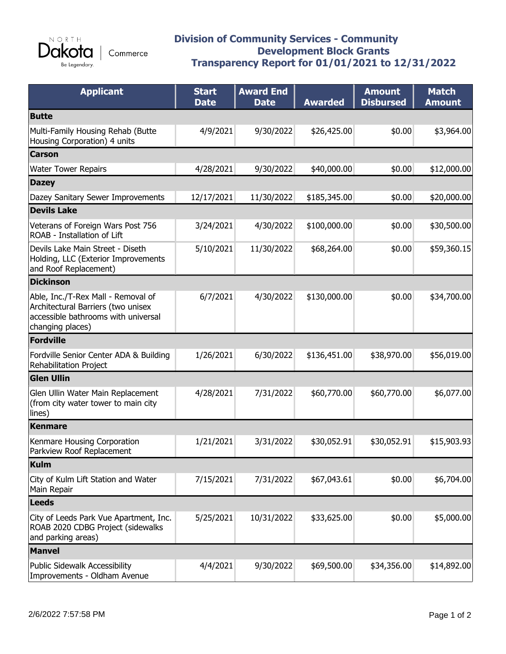

## **Division of Community Services - Community Development Block Grants Transparency Report for 01/01/2021 to 12/31/2022**

| <b>Applicant</b>                                                                                                                    | <b>Start</b><br><b>Date</b> | <b>Award End</b><br><b>Date</b> | <b>Awarded</b> | <b>Amount</b><br><b>Disbursed</b> | <b>Match</b><br><b>Amount</b> |
|-------------------------------------------------------------------------------------------------------------------------------------|-----------------------------|---------------------------------|----------------|-----------------------------------|-------------------------------|
| <b>Butte</b>                                                                                                                        |                             |                                 |                |                                   |                               |
| Multi-Family Housing Rehab (Butte<br>Housing Corporation) 4 units                                                                   | 4/9/2021                    | 9/30/2022                       | \$26,425.00    | \$0.00                            | \$3,964.00                    |
| <b>Carson</b>                                                                                                                       |                             |                                 |                |                                   |                               |
| <b>Water Tower Repairs</b>                                                                                                          | 4/28/2021                   | 9/30/2022                       | \$40,000.00    | \$0.00                            | \$12,000.00                   |
| <b>Dazey</b>                                                                                                                        |                             |                                 |                |                                   |                               |
| Dazey Sanitary Sewer Improvements                                                                                                   | 12/17/2021                  | 11/30/2022                      | \$185,345.00   | \$0.00                            | \$20,000.00                   |
| <b>Devils Lake</b>                                                                                                                  |                             |                                 |                |                                   |                               |
| Veterans of Foreign Wars Post 756<br>ROAB - Installation of Lift                                                                    | 3/24/2021                   | 4/30/2022                       | \$100,000.00   | \$0.00                            | \$30,500.00                   |
| Devils Lake Main Street - Diseth<br>Holding, LLC (Exterior Improvements<br>and Roof Replacement)                                    | 5/10/2021                   | 11/30/2022                      | \$68,264.00    | \$0.00                            | \$59,360.15                   |
| <b>Dickinson</b>                                                                                                                    |                             |                                 |                |                                   |                               |
| Able, Inc./T-Rex Mall - Removal of<br>Architectural Barriers (two unisex<br>accessible bathrooms with universal<br>changing places) | 6/7/2021                    | 4/30/2022                       | \$130,000.00   | \$0.00                            | \$34,700.00                   |
| Fordville                                                                                                                           |                             |                                 |                |                                   |                               |
| Fordville Senior Center ADA & Building<br>Rehabilitation Project                                                                    | 1/26/2021                   | 6/30/2022                       | \$136,451.00   | \$38,970.00                       | \$56,019.00                   |
| <b>Glen Ullin</b>                                                                                                                   |                             |                                 |                |                                   |                               |
| Glen Ullin Water Main Replacement<br>(from city water tower to main city<br>lines)                                                  | 4/28/2021                   | 7/31/2022                       | \$60,770.00    | \$60,770.00                       | \$6,077.00                    |
| <b>Kenmare</b>                                                                                                                      |                             |                                 |                |                                   |                               |
| Kenmare Housing Corporation<br>Parkview Roof Replacement                                                                            | 1/21/2021                   | 3/31/2022                       | \$30,052.91    | \$30,052.91                       | \$15,903.93                   |
| Kulm                                                                                                                                |                             |                                 |                |                                   |                               |
| City of Kulm Lift Station and Water<br>Main Repair                                                                                  | 7/15/2021                   | 7/31/2022                       | \$67,043.61    | \$0.00                            | \$6,704.00                    |
| <b>Leeds</b>                                                                                                                        |                             |                                 |                |                                   |                               |
| City of Leeds Park Vue Apartment, Inc.<br>ROAB 2020 CDBG Project (sidewalks<br>and parking areas)                                   | 5/25/2021                   | 10/31/2022                      | \$33,625.00    | \$0.00                            | \$5,000.00                    |
| <b>Manvel</b>                                                                                                                       |                             |                                 |                |                                   |                               |
| <b>Public Sidewalk Accessibility</b><br>Improvements - Oldham Avenue                                                                | 4/4/2021                    | 9/30/2022                       | \$69,500.00    | \$34,356.00                       | \$14,892.00                   |